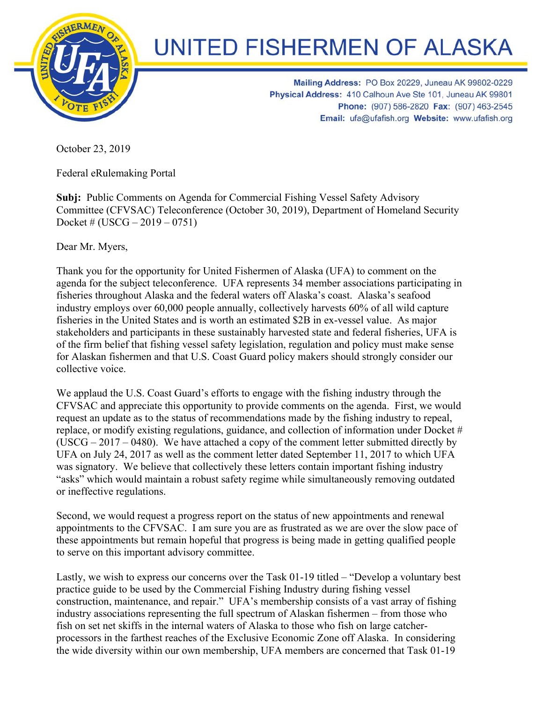

## **UNITED FISHERMEN OF ALASKA**

Mailing Address: PO Box 20229, Juneau AK 99802-0229 Physical Address: 410 Calhoun Ave Ste 101, Juneau AK 99801 Phone: (907) 586-2820 Fax: (907) 463-2545 Email: ufa@ufafish.org Website: www.ufafish.org

October 23, 2019

Federal eRulemaking Portal

**Subj:** Public Comments on Agenda for Commercial Fishing Vessel Safety Advisory Committee (CFVSAC) Teleconference (October 30, 2019), Department of Homeland Security Docket #  $(USCG - 2019 - 0751)$ 

Dear Mr. Myers,

Thank you for the opportunity for United Fishermen of Alaska (UFA) to comment on the agenda for the subject teleconference. UFA represents 34 member associations participating in fisheries throughout Alaska and the federal waters off Alaska's coast. Alaska's seafood industry employs over 60,000 people annually, collectively harvests 60% of all wild capture fisheries in the United States and is worth an estimated \$2B in ex-vessel value. As major stakeholders and participants in these sustainably harvested state and federal fisheries, UFA is of the firm belief that fishing vessel safety legislation, regulation and policy must make sense for Alaskan fishermen and that U.S. Coast Guard policy makers should strongly consider our collective voice.

We applaud the U.S. Coast Guard's efforts to engage with the fishing industry through the CFVSAC and appreciate this opportunity to provide comments on the agenda. First, we would request an update as to the status of recommendations made by the fishing industry to repeal, replace, or modify existing regulations, guidance, and collection of information under Docket # (USCG – 2017 – 0480). We have attached a copy of the comment letter submitted directly by UFA on July 24, 2017 as well as the comment letter dated September 11, 2017 to which UFA was signatory. We believe that collectively these letters contain important fishing industry "asks" which would maintain a robust safety regime while simultaneously removing outdated or ineffective regulations.

Second, we would request a progress report on the status of new appointments and renewal appointments to the CFVSAC. I am sure you are as frustrated as we are over the slow pace of these appointments but remain hopeful that progress is being made in getting qualified people to serve on this important advisory committee.

Lastly, we wish to express our concerns over the Task 01-19 titled – "Develop a voluntary best practice guide to be used by the Commercial Fishing Industry during fishing vessel construction, maintenance, and repair." UFA's membership consists of a vast array of fishing industry associations representing the full spectrum of Alaskan fishermen – from those who fish on set net skiffs in the internal waters of Alaska to those who fish on large catcherprocessors in the farthest reaches of the Exclusive Economic Zone off Alaska. In considering the wide diversity within our own membership, UFA members are concerned that Task 01-19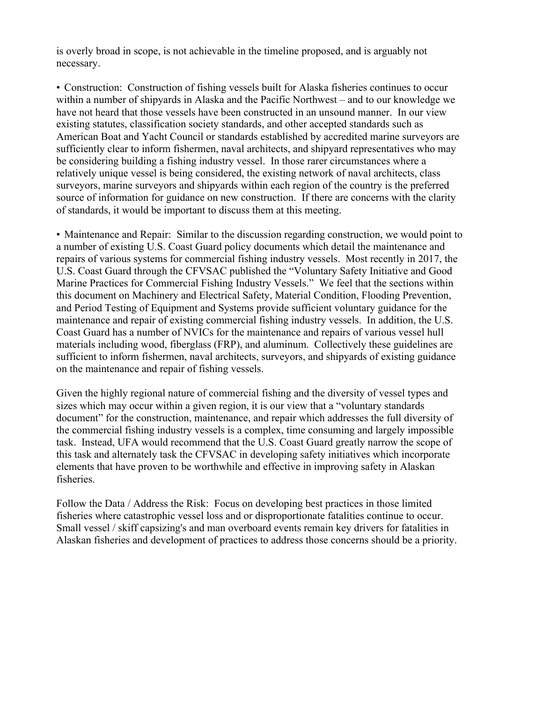is overly broad in scope, is not achievable in the timeline proposed, and is arguably not necessary.

• Construction: Construction of fishing vessels built for Alaska fisheries continues to occur within a number of shipyards in Alaska and the Pacific Northwest – and to our knowledge we have not heard that those vessels have been constructed in an unsound manner. In our view existing statutes, classification society standards, and other accepted standards such as American Boat and Yacht Council or standards established by accredited marine surveyors are sufficiently clear to inform fishermen, naval architects, and shipyard representatives who may be considering building a fishing industry vessel. In those rarer circumstances where a relatively unique vessel is being considered, the existing network of naval architects, class surveyors, marine surveyors and shipyards within each region of the country is the preferred source of information for guidance on new construction. If there are concerns with the clarity of standards, it would be important to discuss them at this meeting.

• Maintenance and Repair: Similar to the discussion regarding construction, we would point to a number of existing U.S. Coast Guard policy documents which detail the maintenance and repairs of various systems for commercial fishing industry vessels. Most recently in 2017, the U.S. Coast Guard through the CFVSAC published the "Voluntary Safety Initiative and Good Marine Practices for Commercial Fishing Industry Vessels." We feel that the sections within this document on Machinery and Electrical Safety, Material Condition, Flooding Prevention, and Period Testing of Equipment and Systems provide sufficient voluntary guidance for the maintenance and repair of existing commercial fishing industry vessels. In addition, the U.S. Coast Guard has a number of NVICs for the maintenance and repairs of various vessel hull materials including wood, fiberglass (FRP), and aluminum. Collectively these guidelines are sufficient to inform fishermen, naval architects, surveyors, and shipyards of existing guidance on the maintenance and repair of fishing vessels.

Given the highly regional nature of commercial fishing and the diversity of vessel types and sizes which may occur within a given region, it is our view that a "voluntary standards document" for the construction, maintenance, and repair which addresses the full diversity of the commercial fishing industry vessels is a complex, time consuming and largely impossible task. Instead, UFA would recommend that the U.S. Coast Guard greatly narrow the scope of this task and alternately task the CFVSAC in developing safety initiatives which incorporate elements that have proven to be worthwhile and effective in improving safety in Alaskan fisheries.

Follow the Data / Address the Risk: Focus on developing best practices in those limited fisheries where catastrophic vessel loss and or disproportionate fatalities continue to occur. Small vessel / skiff capsizing's and man overboard events remain key drivers for fatalities in Alaskan fisheries and development of practices to address those concerns should be a priority.